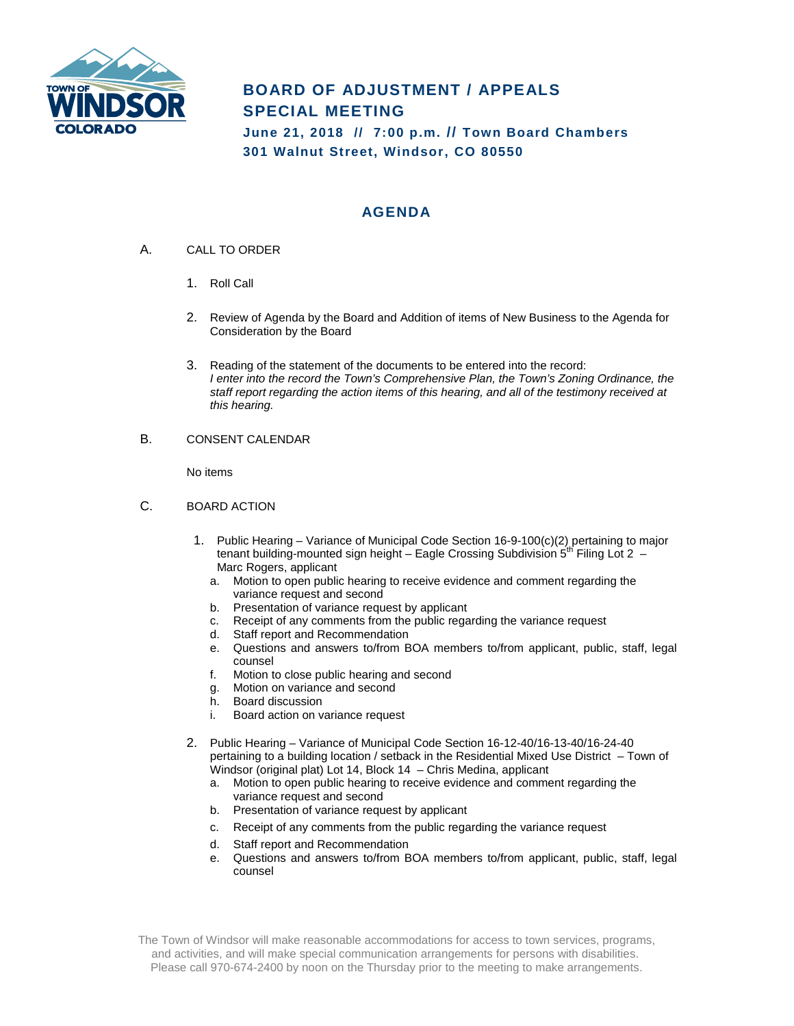

## **BOARD OF ADJUSTMENT / APPEALS SPECIAL MEETING**

**June 21, 2018 // 7:00 p.m. // Town Board Chambers 301 Walnut Street, Windsor, CO 80550**

## **AGENDA**

- A. CALL TO ORDER
	- 1. Roll Call
	- 2. Review of Agenda by the Board and Addition of items of New Business to the Agenda for Consideration by the Board
	- 3. Reading of the statement of the documents to be entered into the record: *I enter into the record the Town's Comprehensive Plan, the Town's Zoning Ordinance, the staff report regarding the action items of this hearing, and all of the testimony received at this hearing.*
- B. CONSENT CALENDAR

No items

- C. BOARD ACTION
	- 1. Public Hearing Variance of Municipal Code Section 16-9-100(c)(2) pertaining to major tenant building-mounted sign height – Eagle Crossing Subdivision 5<sup>th</sup> Filing Lot 2 – Marc Rogers, applicant
		- a. Motion to open public hearing to receive evidence and comment regarding the variance request and second
		- b. Presentation of variance request by applicant
		- c. Receipt of any comments from the public regarding the variance request
		- d. Staff report and Recommendation
		- e. Questions and answers to/from BOA members to/from applicant, public, staff, legal counsel
		- f. Motion to close public hearing and second
		- g. Motion on variance and second
		- h. Board discussion
		- i. Board action on variance request
	- 2. Public Hearing Variance of Municipal Code Section 16-12-40/16-13-40/16-24-40 pertaining to a building location / setback in the Residential Mixed Use District – Town of Windsor (original plat) Lot 14, Block 14 – Chris Medina, applicant
		- a. Motion to open public hearing to receive evidence and comment regarding the variance request and second
		- b. Presentation of variance request by applicant
		- c. Receipt of any comments from the public regarding the variance request
		- d. Staff report and Recommendation
		- e. Questions and answers to/from BOA members to/from applicant, public, staff, legal counsel

The Town of Windsor will make reasonable accommodations for access to town services, programs, and activities, and will make special communication arrangements for persons with disabilities. Please call 970-674-2400 by noon on the Thursday prior to the meeting to make arrangements.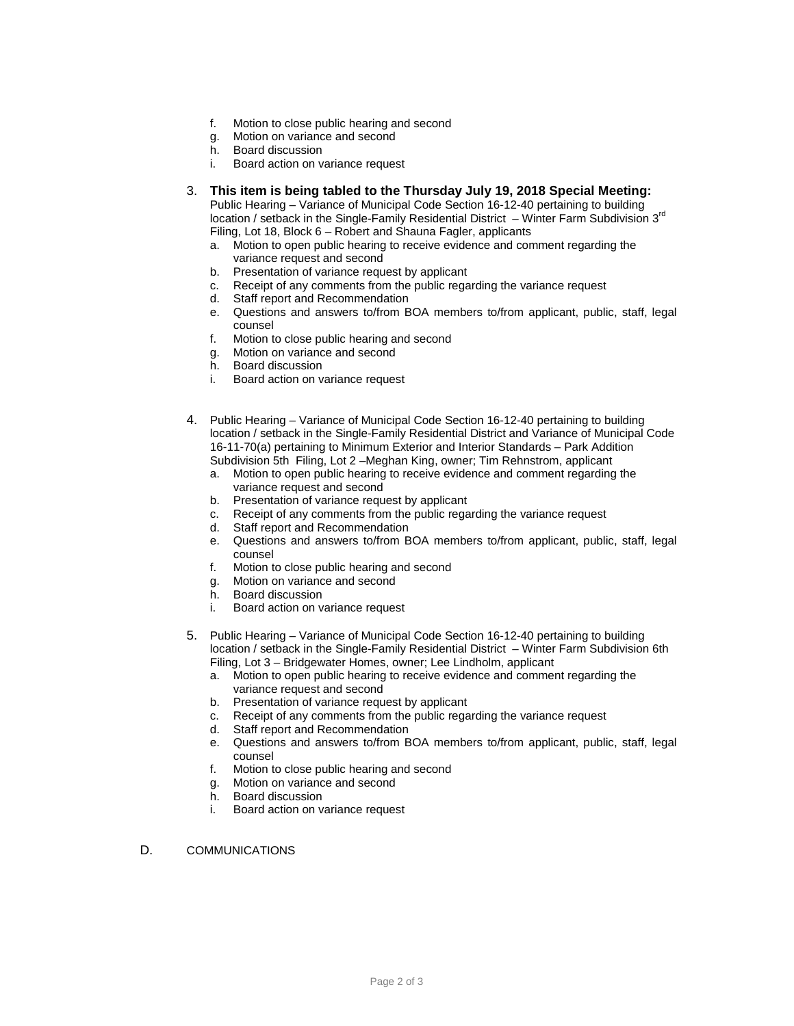- f. Motion to close public hearing and second
- g. Motion on variance and second
- h. Board discussion
- i. Board action on variance request
- 3. **This item is being tabled to the Thursday July 19, 2018 Special Meeting:**  Public Hearing – Variance of Municipal Code Section 16-12-40 pertaining to building

location / setback in the Single-Family Residential District – Winter Farm Subdivision  $3^{rd}$ Filing, Lot 18, Block 6 – Robert and Shauna Fagler, applicants

- a. Motion to open public hearing to receive evidence and comment regarding the variance request and second
- b. Presentation of variance request by applicant
- c. Receipt of any comments from the public regarding the variance request
- d. Staff report and Recommendation
- e. Questions and answers to/from BOA members to/from applicant, public, staff, legal counsel
- f. Motion to close public hearing and second
- g. Motion on variance and second
- h. Board discussion
- i. Board action on variance request
- 4. Public Hearing Variance of Municipal Code Section 16-12-40 pertaining to building location / setback in the Single-Family Residential District and Variance of Municipal Code 16-11-70(a) pertaining to Minimum Exterior and Interior Standards – Park Addition Subdivision 5th Filing, Lot 2 –Meghan King, owner; Tim Rehnstrom, applicant
	- a. Motion to open public hearing to receive evidence and comment regarding the variance request and second
	- b. Presentation of variance request by applicant c. Receipt of any comments from the public rega
	- Receipt of any comments from the public regarding the variance request
	- d. Staff report and Recommendation
	- e. Questions and answers to/from BOA members to/from applicant, public, staff, legal counsel
	- f. Motion to close public hearing and second
	- Motion on variance and second g. Motion on variand<br>h. Board discussion
	-
	- i. Board action on variance request
- 5. Public Hearing Variance of Municipal Code Section 16-12-40 pertaining to building location / setback in the Single-Family Residential District – Winter Farm Subdivision 6th Filing, Lot 3 – Bridgewater Homes, owner; Lee Lindholm, applicant
	- a. Motion to open public hearing to receive evidence and comment regarding the variance request and second
	- b. Presentation of variance request by applicant
	- c. Receipt of any comments from the public regarding the variance request
	- d. Staff report and Recommendation
	- e. Questions and answers to/from BOA members to/from applicant, public, staff, legal counsel
	- f. Motion to close public hearing and second
	- g. Motion on variance and second
	- h. Board discussion
	- i. Board action on variance request
- D. COMMUNICATIONS